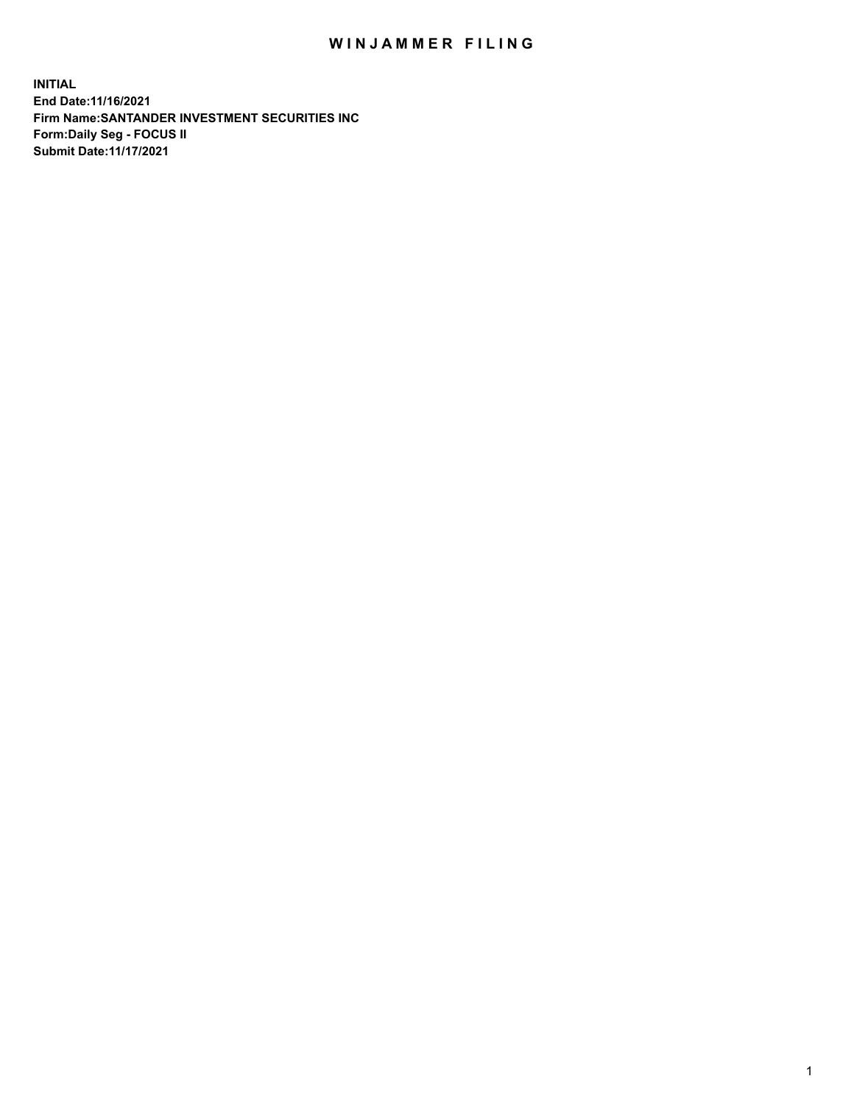## WIN JAMMER FILING

**INITIAL End Date:11/16/2021 Firm Name:SANTANDER INVESTMENT SECURITIES INC Form:Daily Seg - FOCUS II Submit Date:11/17/2021**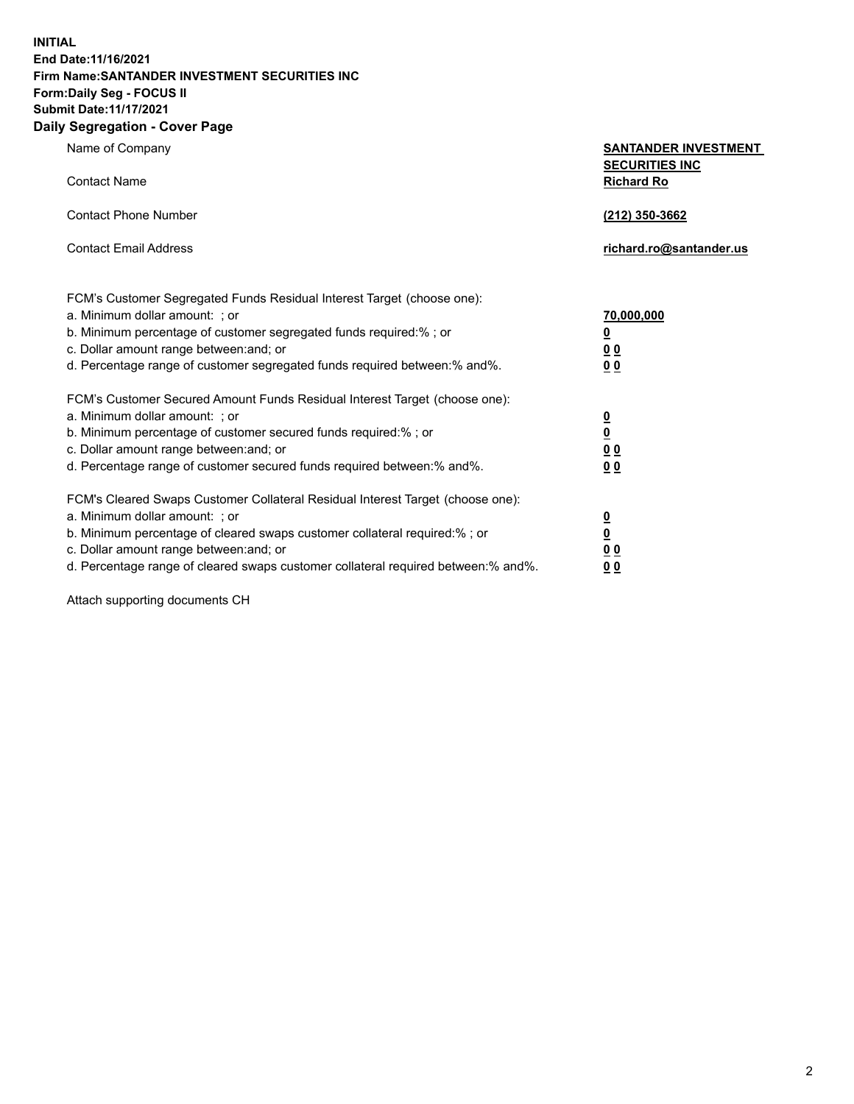**INITIAL End Date:11/16/2021 Firm Name:SANTANDER INVESTMENT SECURITIES INC Form:Daily Seg - FOCUS II Submit Date:11/17/2021 Daily Segregation - Cover Page**

| $\gamma$ ocgi cganon - oo $\gamma$ or - ago                                       |                                                      |
|-----------------------------------------------------------------------------------|------------------------------------------------------|
| Name of Company                                                                   | <b>SANTANDER INVESTMENT</b><br><b>SECURITIES INC</b> |
| <b>Contact Name</b>                                                               | <b>Richard Ro</b>                                    |
| <b>Contact Phone Number</b>                                                       | (212) 350-3662                                       |
| <b>Contact Email Address</b>                                                      | richard.ro@santander.us                              |
| FCM's Customer Segregated Funds Residual Interest Target (choose one):            |                                                      |
| a. Minimum dollar amount: ; or                                                    | 70,000,000                                           |
| b. Minimum percentage of customer segregated funds required:%; or                 | <u>0</u>                                             |
| c. Dollar amount range between: and; or                                           | 00                                                   |
| d. Percentage range of customer segregated funds required between:% and%.         | 0 <sub>0</sub>                                       |
| FCM's Customer Secured Amount Funds Residual Interest Target (choose one):        |                                                      |
| a. Minimum dollar amount: ; or                                                    | $\frac{0}{0}$                                        |
| b. Minimum percentage of customer secured funds required:%; or                    |                                                      |
| c. Dollar amount range between: and; or                                           | 0 <sub>0</sub>                                       |
| d. Percentage range of customer secured funds required between: % and %.          | 0 <sub>0</sub>                                       |
| FCM's Cleared Swaps Customer Collateral Residual Interest Target (choose one):    |                                                      |
| a. Minimum dollar amount: ; or                                                    | $\frac{0}{0}$                                        |
| b. Minimum percentage of cleared swaps customer collateral required:% ; or        |                                                      |
| c. Dollar amount range between: and; or                                           | 0 <sub>0</sub>                                       |
| d. Percentage range of cleared swaps customer collateral required between:% and%. | 0 <sub>0</sub>                                       |

Attach supporting documents CH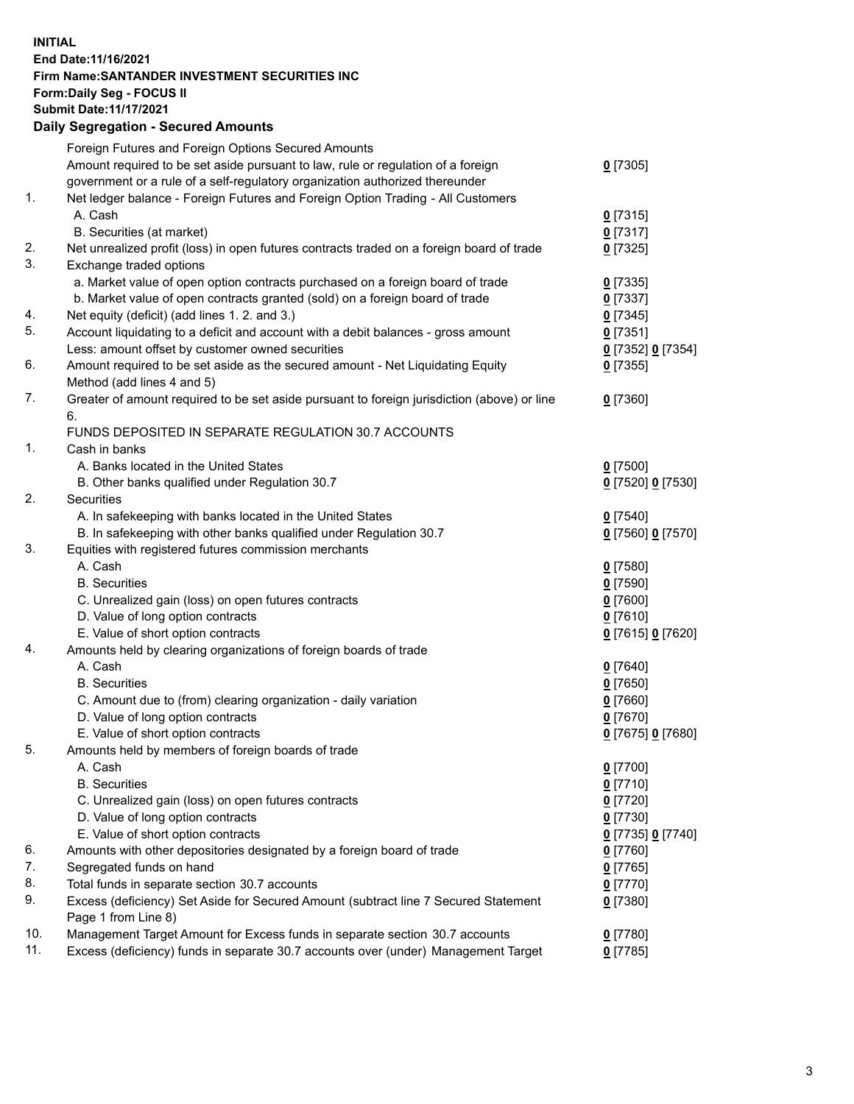## **INITIAL End Date:11/16/2021 Firm Name:SANTANDER INVESTMENT SECURITIES INC Form:Daily Seg - FOCUS II Submit Date:11/17/2021 Daily Segregation - Secured Amounts**

|     | Foreign Futures and Foreign Options Secured Amounts                                         |                   |
|-----|---------------------------------------------------------------------------------------------|-------------------|
|     | Amount required to be set aside pursuant to law, rule or regulation of a foreign            | $0$ [7305]        |
|     | government or a rule of a self-regulatory organization authorized thereunder                |                   |
| 1.  | Net ledger balance - Foreign Futures and Foreign Option Trading - All Customers             |                   |
|     | A. Cash                                                                                     | $0$ [7315]        |
|     | B. Securities (at market)                                                                   | $0$ [7317]        |
| 2.  | Net unrealized profit (loss) in open futures contracts traded on a foreign board of trade   | $0$ [7325]        |
| 3.  | Exchange traded options                                                                     |                   |
|     | a. Market value of open option contracts purchased on a foreign board of trade              | $0$ [7335]        |
|     | b. Market value of open contracts granted (sold) on a foreign board of trade                | $0$ [7337]        |
| 4.  | Net equity (deficit) (add lines 1. 2. and 3.)                                               | $0$ [7345]        |
| 5.  | Account liquidating to a deficit and account with a debit balances - gross amount           | $0$ [7351]        |
|     | Less: amount offset by customer owned securities                                            | 0 [7352] 0 [7354] |
| 6.  | Amount required to be set aside as the secured amount - Net Liquidating Equity              | $0$ [7355]        |
|     | Method (add lines 4 and 5)                                                                  |                   |
| 7.  | Greater of amount required to be set aside pursuant to foreign jurisdiction (above) or line | $0$ [7360]        |
|     | 6.                                                                                          |                   |
|     | FUNDS DEPOSITED IN SEPARATE REGULATION 30.7 ACCOUNTS                                        |                   |
| 1.  | Cash in banks                                                                               |                   |
|     | A. Banks located in the United States                                                       | $0$ [7500]        |
|     | B. Other banks qualified under Regulation 30.7                                              | 0 [7520] 0 [7530] |
| 2.  | Securities                                                                                  |                   |
|     | A. In safekeeping with banks located in the United States                                   | $0$ [7540]        |
|     | B. In safekeeping with other banks qualified under Regulation 30.7                          | 0 [7560] 0 [7570] |
| 3.  | Equities with registered futures commission merchants                                       |                   |
|     | A. Cash                                                                                     | $0$ [7580]        |
|     | <b>B.</b> Securities                                                                        | $0$ [7590]        |
|     | C. Unrealized gain (loss) on open futures contracts                                         | $0$ [7600]        |
|     | D. Value of long option contracts                                                           | $0$ [7610]        |
|     | E. Value of short option contracts                                                          | 0 [7615] 0 [7620] |
| 4.  | Amounts held by clearing organizations of foreign boards of trade                           |                   |
|     | A. Cash                                                                                     | $0$ [7640]        |
|     | <b>B.</b> Securities                                                                        | $0$ [7650]        |
|     | C. Amount due to (from) clearing organization - daily variation                             | $0$ [7660]        |
|     | D. Value of long option contracts                                                           | $0$ [7670]        |
|     | E. Value of short option contracts                                                          | 0 [7675] 0 [7680] |
| 5.  | Amounts held by members of foreign boards of trade                                          |                   |
|     | A. Cash                                                                                     | $0$ [7700]        |
|     | <b>B.</b> Securities                                                                        | $0$ [7710]        |
|     | C. Unrealized gain (loss) on open futures contracts                                         | $0$ [7720]        |
|     | D. Value of long option contracts                                                           | $0$ [7730]        |
|     | E. Value of short option contracts                                                          | 0 [7735] 0 [7740] |
| 6.  | Amounts with other depositories designated by a foreign board of trade                      | 0 [7760]          |
| 7.  | Segregated funds on hand                                                                    | $0$ [7765]        |
| 8.  | Total funds in separate section 30.7 accounts                                               | 0 [7770]          |
| 9.  | Excess (deficiency) Set Aside for Secured Amount (subtract line 7 Secured Statement         | $0$ [7380]        |
|     | Page 1 from Line 8)                                                                         |                   |
| 10. | Management Target Amount for Excess funds in separate section 30.7 accounts                 | $0$ [7780]        |
| 11. | Excess (deficiency) funds in separate 30.7 accounts over (under) Management Target          | $0$ [7785]        |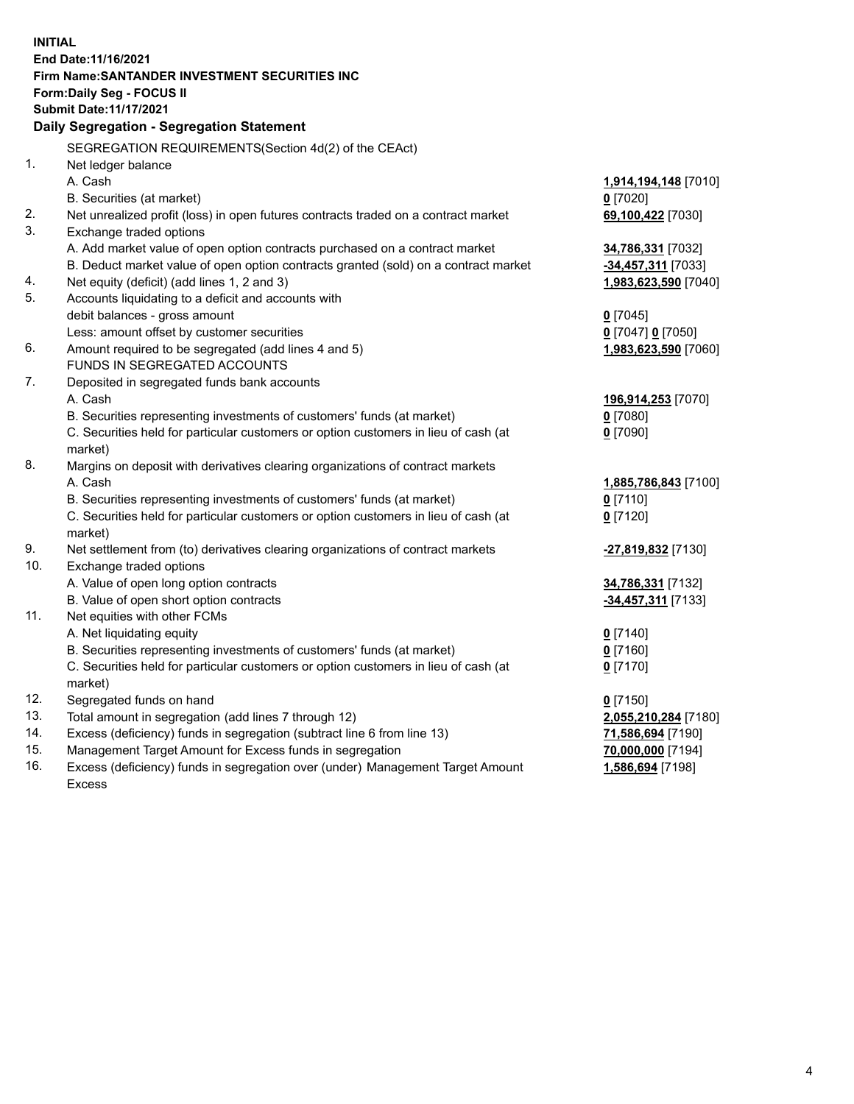| <b>INITIAL</b> |                                                                                     |                      |
|----------------|-------------------------------------------------------------------------------------|----------------------|
|                | End Date: 11/16/2021                                                                |                      |
|                | Firm Name: SANTANDER INVESTMENT SECURITIES INC                                      |                      |
|                | Form: Daily Seg - FOCUS II                                                          |                      |
|                | <b>Submit Date: 11/17/2021</b>                                                      |                      |
|                | Daily Segregation - Segregation Statement                                           |                      |
|                |                                                                                     |                      |
|                | SEGREGATION REQUIREMENTS(Section 4d(2) of the CEAct)                                |                      |
| 1.             | Net ledger balance                                                                  |                      |
|                | A. Cash                                                                             | 1,914,194,148 [7010] |
|                | B. Securities (at market)                                                           | $0$ [7020]           |
| 2.             | Net unrealized profit (loss) in open futures contracts traded on a contract market  | 69,100,422 [7030]    |
| 3.             | Exchange traded options                                                             |                      |
|                | A. Add market value of open option contracts purchased on a contract market         | 34,786,331 [7032]    |
|                | B. Deduct market value of open option contracts granted (sold) on a contract market | -34,457,311 [7033]   |
| 4.             | Net equity (deficit) (add lines 1, 2 and 3)                                         | 1,983,623,590 [7040] |
| 5.             | Accounts liquidating to a deficit and accounts with                                 |                      |
|                | debit balances - gross amount                                                       | $0$ [7045]           |
|                | Less: amount offset by customer securities                                          | 0 [7047] 0 [7050]    |
| 6.             | Amount required to be segregated (add lines 4 and 5)                                | 1,983,623,590 [7060] |
|                | FUNDS IN SEGREGATED ACCOUNTS                                                        |                      |
| 7.             | Deposited in segregated funds bank accounts                                         |                      |
|                | A. Cash                                                                             | 196,914,253 [7070]   |
|                | B. Securities representing investments of customers' funds (at market)              | $0$ [7080]           |
|                | C. Securities held for particular customers or option customers in lieu of cash (at | $0$ [7090]           |
|                | market)                                                                             |                      |
| 8.             | Margins on deposit with derivatives clearing organizations of contract markets      |                      |
|                | A. Cash                                                                             | 1,885,786,843 [7100] |
|                | B. Securities representing investments of customers' funds (at market)              | $0$ [7110]           |
|                | C. Securities held for particular customers or option customers in lieu of cash (at | $0$ [7120]           |
|                | market)                                                                             |                      |
| 9.             | Net settlement from (to) derivatives clearing organizations of contract markets     | -27,819,832 [7130]   |
| 10.            | Exchange traded options                                                             |                      |
|                | A. Value of open long option contracts                                              | 34,786,331 [7132]    |
|                | B. Value of open short option contracts                                             | -34,457,311 [7133]   |
| 11.            | Net equities with other FCMs                                                        |                      |
|                | A. Net liquidating equity                                                           | $0$ [7140]           |
|                | B. Securities representing investments of customers' funds (at market)              | $0$ [7160]           |
|                | C. Securities held for particular customers or option customers in lieu of cash (at | $0$ [7170]           |
|                | market)                                                                             |                      |
| 12.            | Segregated funds on hand                                                            | $0$ [7150]           |
| 13.            | Total amount in segregation (add lines 7 through 12)                                | 2,055,210,284 [7180] |
| 14.            | Excess (deficiency) funds in segregation (subtract line 6 from line 13)             | 71,586,694 [7190]    |
| 15.            | Management Target Amount for Excess funds in segregation                            | 70,000,000 [7194]    |
| 16.            | Excess (deficiency) funds in segregation over (under) Management Target Amount      | 1,586,694 [7198]     |
|                | <b>Excess</b>                                                                       |                      |